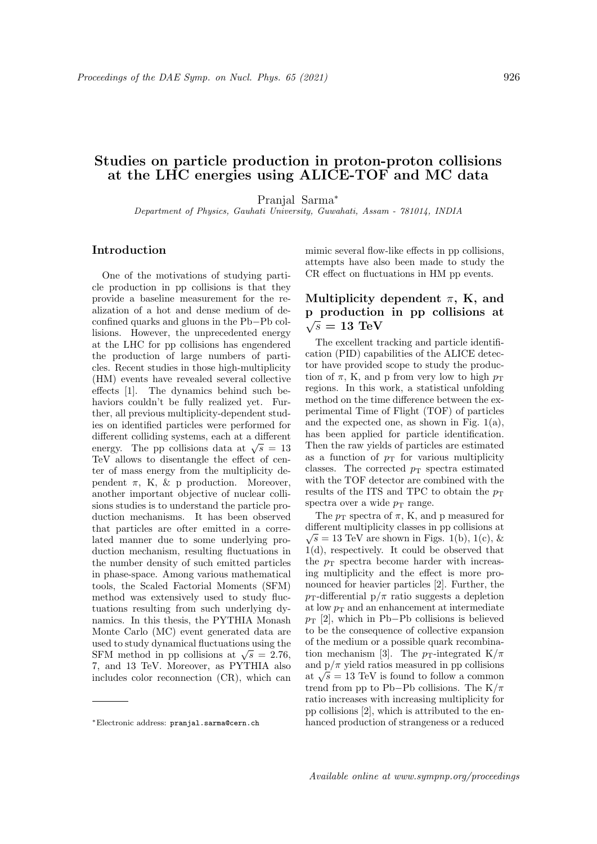# Studies on particle production in proton-proton collisions at the LHC energies using ALICE-TOF and MC data

Pranjal Sarma<sup>∗</sup>

Department of Physics, Gauhati University, Guwahati, Assam - 781014, INDIA

#### Introduction

One of the motivations of studying particle production in pp collisions is that they provide a baseline measurement for the realization of a hot and dense medium of deconfined quarks and gluons in the Pb−Pb collisions. However, the unprecedented energy at the LHC for pp collisions has engendered the production of large numbers of particles. Recent studies in those high-multiplicity (HM) events have revealed several collective effects [1]. The dynamics behind such behaviors couldn't be fully realized yet. Further, all previous multiplicity-dependent studies on identified particles were performed for different colliding systems, each at a different energy. The pp collisions data at  $\sqrt{s} = 13$ TeV allows to disentangle the effect of center of mass energy from the multiplicity dependent  $\pi$ , K, & p production. Moreover, another important objective of nuclear collisions studies is to understand the particle production mechanisms. It has been observed that particles are ofter emitted in a correlated manner due to some underlying production mechanism, resulting fluctuations in the number density of such emitted particles in phase-space. Among various mathematical tools, the Scaled Factorial Moments (SFM) method was extensively used to study fluctuations resulting from such underlying dynamics. In this thesis, the PYTHIA Monash Monte Carlo (MC) event generated data are used to study dynamical fluctuations using the used to study dynamical intertuations using the<br>SFM method in pp collisions at  $\sqrt{s} = 2.76$ , 7, and 13 TeV. Moreover, as PYTHIA also includes color reconnection (CR), which can

mimic several flow-like effects in pp collisions, attempts have also been made to study the CR effect on fluctuations in HM pp events.

### Multiplicity dependent  $\pi$ , K, and p production in pp collisions at  $\sqrt{s} = 13$  TeV

The excellent tracking and particle identification (PID) capabilities of the ALICE detector have provided scope to study the production of  $\pi$ , K, and p from very low to high  $p_T$ regions. In this work, a statistical unfolding method on the time difference between the experimental Time of Flight (TOF) of particles and the expected one, as shown in Fig.  $1(a)$ , has been applied for particle identification. Then the raw yields of particles are estimated as a function of  $p_T$  for various multiplicity classes. The corrected  $p_T$  spectra estimated with the TOF detector are combined with the results of the ITS and TPC to obtain the  $p_T$ spectra over a wide  $p_T$  range.

The  $p_T$  spectra of  $\pi$ , K, and p measured for different multiplicity classes in pp collisions at  $\sqrt{s} = 13$  TeV are shown in Figs. 1(b), 1(c), & 1(d), respectively. It could be observed that the  $p_T$  spectra become harder with increasing multiplicity and the effect is more pronounced for heavier particles [2]. Further, the  $p_T$ -differential  $p/\pi$  ratio suggests a depletion at low  $p_T$  and an enhancement at intermediate  $p_T$  [2], which in Pb–Pb collisions is believed to be the consequence of collective expansion of the medium or a possible quark recombination mechanism [3]. The  $p_T$ -integrated K/ $\pi$ and  $p/\pi$  yield ratios measured in pp collisions and  $p/\pi$  yield ratios measured in pp comsions at  $\sqrt{s} = 13$  TeV is found to follow a common trend from pp to Pb−Pb collisions. The  $K/\pi$ ratio increases with increasing multiplicity for pp collisions [2], which is attributed to the enhanced production of strangeness or a reduced

<sup>∗</sup>Electronic address: pranjal.sarma@cern.ch